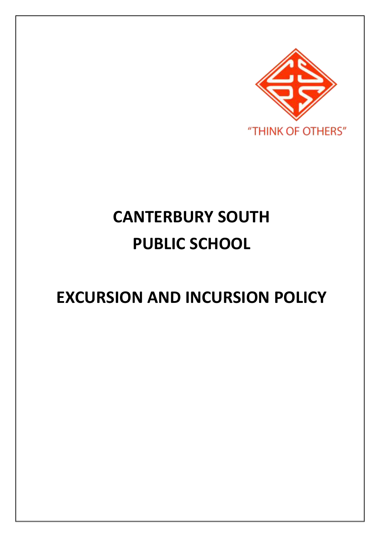

# **CANTERBURY SOUTH PUBLIC SCHOOL**

# **EXCURSION AND INCURSION POLICY**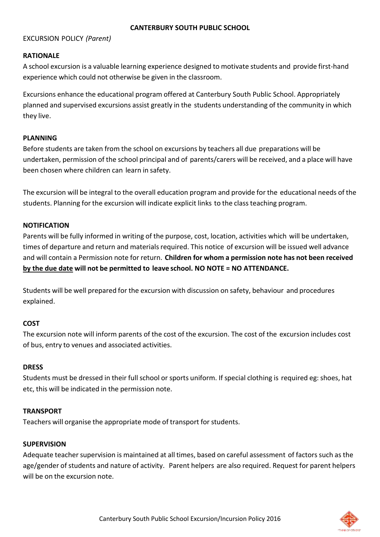#### **CANTERBURY SOUTH PUBLIC SCHOOL**

## EXCURSION POLICY *(Parent)*

## **RATIONALE**

A school excursion is a valuable learning experience designed to motivate students and provide first-hand experience which could not otherwise be given in the classroom.

Excursions enhance the educational program offered at Canterbury South Public School. Appropriately planned and supervised excursions assist greatly in the students understanding of the community in which they live.

### **PLANNING**

Before students are taken from the school on excursions by teachers all due preparations will be undertaken, permission of the school principal and of parents/carers will be received, and a place will have been chosen where children can learn in safety.

The excursion will be integral to the overall education program and provide for the educational needs of the students. Planning for the excursion will indicate explicit links to the class teaching program.

### **NOTIFICATION**

Parents will be fully informed in writing of the purpose, cost, location, activities which will be undertaken, times of departure and return and materials required. This notice of excursion will be issued well advance and will contain a Permission note for return. **Children for whom a permission note has not been received by the due date will not be permitted to leave school. NO NOTE = NO ATTENDANCE.**

Students will be well prepared for the excursion with discussion on safety, behaviour and procedures explained.

# **COST**

The excursion note will inform parents of the cost of the excursion. The cost of the excursion includes cost of bus, entry to venues and associated activities.

# **DRESS**

Students must be dressed in their full school or sports uniform. If special clothing is required eg: shoes, hat etc, this will be indicated in the permission note.

# **TRANSPORT**

Teachers will organise the appropriate mode of transport for students.

#### **SUPERVISION**

Adequate teacher supervision is maintained at all times, based on careful assessment of factors such as the age/gender of students and nature of activity. Parent helpers are also required. Request for parent helpers will be on the excursion note.